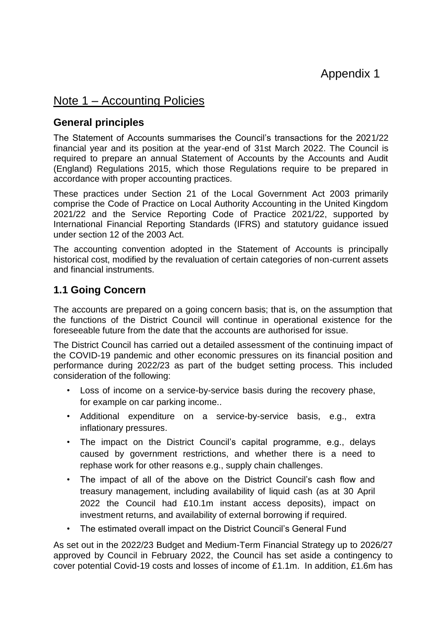# Note 1 – Accounting Policies

## **General principles**

The Statement of Accounts summarises the Council's transactions for the 2021/22 financial year and its position at the year-end of 31st March 2022. The Council is required to prepare an annual Statement of Accounts by the Accounts and Audit (England) Regulations 2015, which those Regulations require to be prepared in accordance with proper accounting practices.

These practices under Section 21 of the Local Government Act 2003 primarily comprise the Code of Practice on Local Authority Accounting in the United Kingdom 2021/22 and the Service Reporting Code of Practice 2021/22, supported by International Financial Reporting Standards (IFRS) and statutory guidance issued under section 12 of the 2003 Act.

The accounting convention adopted in the Statement of Accounts is principally historical cost, modified by the revaluation of certain categories of non-current assets and financial instruments.

## **1.1 Going Concern**

The accounts are prepared on a going concern basis; that is, on the assumption that the functions of the District Council will continue in operational existence for the foreseeable future from the date that the accounts are authorised for issue.

The District Council has carried out a detailed assessment of the continuing impact of the COVID-19 pandemic and other economic pressures on its financial position and performance during 2022/23 as part of the budget setting process. This included consideration of the following:

- Loss of income on a service-by-service basis during the recovery phase, for example on car parking income..
- Additional expenditure on a service-by-service basis, e.g., extra inflationary pressures.
- The impact on the District Council's capital programme, e.g., delays caused by government restrictions, and whether there is a need to rephase work for other reasons e.g., supply chain challenges.
- The impact of all of the above on the District Council's cash flow and treasury management, including availability of liquid cash (as at 30 April 2022 the Council had £10.1m instant access deposits), impact on investment returns, and availability of external borrowing if required.
- The estimated overall impact on the District Council's General Fund

As set out in the 2022/23 Budget and Medium-Term Financial Strategy up to 2026/27 approved by Council in February 2022, the Council has set aside a contingency to cover potential Covid-19 costs and losses of income of £1.1m. In addition, £1.6m has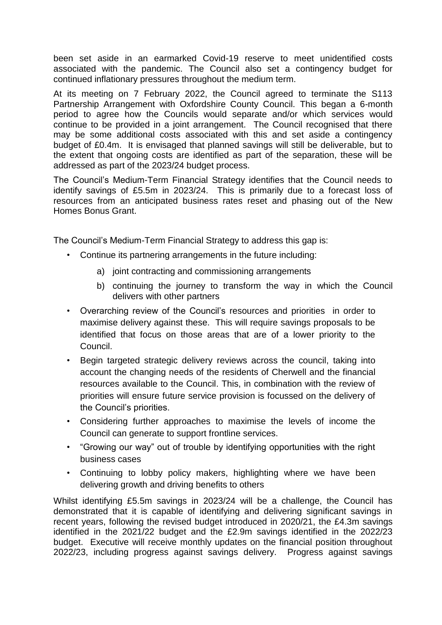been set aside in an earmarked Covid-19 reserve to meet unidentified costs associated with the pandemic. The Council also set a contingency budget for continued inflationary pressures throughout the medium term.

At its meeting on 7 February 2022, the Council agreed to terminate the S113 Partnership Arrangement with Oxfordshire County Council. This began a 6-month period to agree how the Councils would separate and/or which services would continue to be provided in a joint arrangement. The Council recognised that there may be some additional costs associated with this and set aside a contingency budget of £0.4m. It is envisaged that planned savings will still be deliverable, but to the extent that ongoing costs are identified as part of the separation, these will be addressed as part of the 2023/24 budget process.

The Council's Medium-Term Financial Strategy identifies that the Council needs to identify savings of £5.5m in 2023/24. This is primarily due to a forecast loss of resources from an anticipated business rates reset and phasing out of the New Homes Bonus Grant.

The Council's Medium-Term Financial Strategy to address this gap is:

- Continue its partnering arrangements in the future including:
	- a) joint contracting and commissioning arrangements
	- b) continuing the journey to transform the way in which the Council delivers with other partners
- Overarching review of the Council's resources and priorities in order to maximise delivery against these. This will require savings proposals to be identified that focus on those areas that are of a lower priority to the Council.
- Begin targeted strategic delivery reviews across the council, taking into account the changing needs of the residents of Cherwell and the financial resources available to the Council. This, in combination with the review of priorities will ensure future service provision is focussed on the delivery of the Council's priorities.
- Considering further approaches to maximise the levels of income the Council can generate to support frontline services.
- "Growing our way" out of trouble by identifying opportunities with the right business cases
- Continuing to lobby policy makers, highlighting where we have been delivering growth and driving benefits to others

Whilst identifying £5.5m savings in 2023/24 will be a challenge, the Council has demonstrated that it is capable of identifying and delivering significant savings in recent years, following the revised budget introduced in 2020/21, the £4.3m savings identified in the 2021/22 budget and the £2.9m savings identified in the 2022/23 budget. Executive will receive monthly updates on the financial position throughout 2022/23, including progress against savings delivery. Progress against savings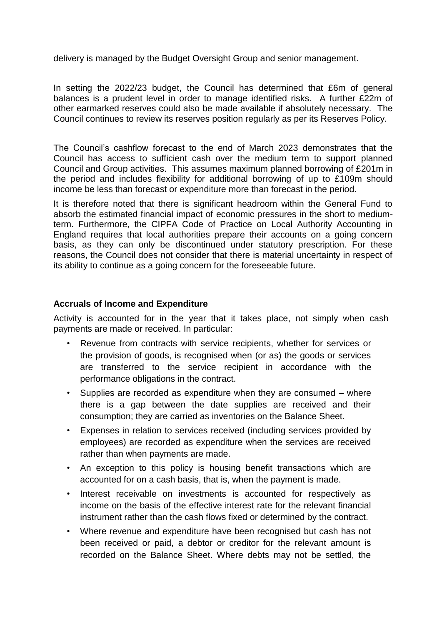delivery is managed by the Budget Oversight Group and senior management.

In setting the 2022/23 budget, the Council has determined that £6m of general balances is a prudent level in order to manage identified risks. A further £22m of other earmarked reserves could also be made available if absolutely necessary. The Council continues to review its reserves position regularly as per its Reserves Policy.

The Council's cashflow forecast to the end of March 2023 demonstrates that the Council has access to sufficient cash over the medium term to support planned Council and Group activities. This assumes maximum planned borrowing of £201m in the period and includes flexibility for additional borrowing of up to £109m should income be less than forecast or expenditure more than forecast in the period.

It is therefore noted that there is significant headroom within the General Fund to absorb the estimated financial impact of economic pressures in the short to mediumterm. Furthermore, the CIPFA Code of Practice on Local Authority Accounting in England requires that local authorities prepare their accounts on a going concern basis, as they can only be discontinued under statutory prescription. For these reasons, the Council does not consider that there is material uncertainty in respect of its ability to continue as a going concern for the foreseeable future.

#### **Accruals of Income and Expenditure**

Activity is accounted for in the year that it takes place, not simply when cash payments are made or received. In particular:

- Revenue from contracts with service recipients, whether for services or the provision of goods, is recognised when (or as) the goods or services are transferred to the service recipient in accordance with the performance obligations in the contract.
- Supplies are recorded as expenditure when they are consumed where there is a gap between the date supplies are received and their consumption; they are carried as inventories on the Balance Sheet.
- Expenses in relation to services received (including services provided by employees) are recorded as expenditure when the services are received rather than when payments are made.
- An exception to this policy is housing benefit transactions which are accounted for on a cash basis, that is, when the payment is made.
- Interest receivable on investments is accounted for respectively as income on the basis of the effective interest rate for the relevant financial instrument rather than the cash flows fixed or determined by the contract.
- Where revenue and expenditure have been recognised but cash has not been received or paid, a debtor or creditor for the relevant amount is recorded on the Balance Sheet. Where debts may not be settled, the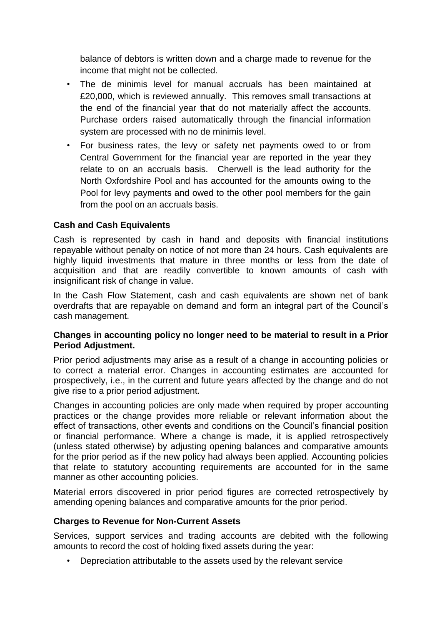balance of debtors is written down and a charge made to revenue for the income that might not be collected.

- The de minimis level for manual accruals has been maintained at £20,000, which is reviewed annually. This removes small transactions at the end of the financial year that do not materially affect the accounts. Purchase orders raised automatically through the financial information system are processed with no de minimis level.
- For business rates, the levy or safety net payments owed to or from Central Government for the financial year are reported in the year they relate to on an accruals basis. Cherwell is the lead authority for the North Oxfordshire Pool and has accounted for the amounts owing to the Pool for levy payments and owed to the other pool members for the gain from the pool on an accruals basis.

### **Cash and Cash Equivalents**

Cash is represented by cash in hand and deposits with financial institutions repayable without penalty on notice of not more than 24 hours. Cash equivalents are highly liquid investments that mature in three months or less from the date of acquisition and that are readily convertible to known amounts of cash with insignificant risk of change in value.

In the Cash Flow Statement, cash and cash equivalents are shown net of bank overdrafts that are repayable on demand and form an integral part of the Council's cash management.

#### **Changes in accounting policy no longer need to be material to result in a Prior Period Adjustment.**

Prior period adjustments may arise as a result of a change in accounting policies or to correct a material error. Changes in accounting estimates are accounted for prospectively, i.e., in the current and future years affected by the change and do not give rise to a prior period adjustment.

Changes in accounting policies are only made when required by proper accounting practices or the change provides more reliable or relevant information about the effect of transactions, other events and conditions on the Council's financial position or financial performance. Where a change is made, it is applied retrospectively (unless stated otherwise) by adjusting opening balances and comparative amounts for the prior period as if the new policy had always been applied. Accounting policies that relate to statutory accounting requirements are accounted for in the same manner as other accounting policies.

Material errors discovered in prior period figures are corrected retrospectively by amending opening balances and comparative amounts for the prior period.

#### **Charges to Revenue for Non-Current Assets**

Services, support services and trading accounts are debited with the following amounts to record the cost of holding fixed assets during the year:

• Depreciation attributable to the assets used by the relevant service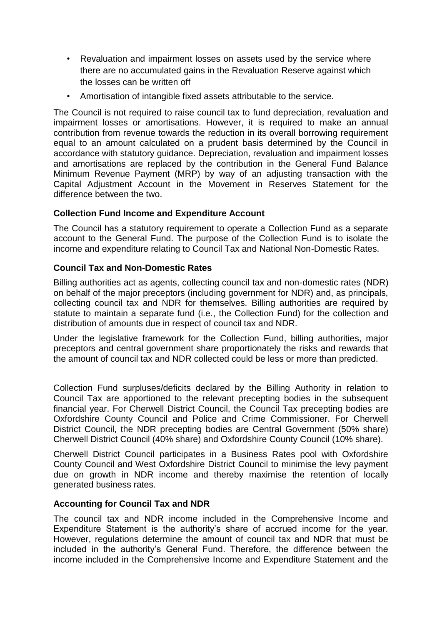- Revaluation and impairment losses on assets used by the service where there are no accumulated gains in the Revaluation Reserve against which the losses can be written off
- Amortisation of intangible fixed assets attributable to the service.

The Council is not required to raise council tax to fund depreciation, revaluation and impairment losses or amortisations. However, it is required to make an annual contribution from revenue towards the reduction in its overall borrowing requirement equal to an amount calculated on a prudent basis determined by the Council in accordance with statutory guidance. Depreciation, revaluation and impairment losses and amortisations are replaced by the contribution in the General Fund Balance Minimum Revenue Payment (MRP) by way of an adjusting transaction with the Capital Adjustment Account in the Movement in Reserves Statement for the difference between the two.

#### **Collection Fund Income and Expenditure Account**

The Council has a statutory requirement to operate a Collection Fund as a separate account to the General Fund. The purpose of the Collection Fund is to isolate the income and expenditure relating to Council Tax and National Non-Domestic Rates.

#### **Council Tax and Non-Domestic Rates**

Billing authorities act as agents, collecting council tax and non-domestic rates (NDR) on behalf of the major preceptors (including government for NDR) and, as principals, collecting council tax and NDR for themselves. Billing authorities are required by statute to maintain a separate fund (i.e., the Collection Fund) for the collection and distribution of amounts due in respect of council tax and NDR.

Under the legislative framework for the Collection Fund, billing authorities, major preceptors and central government share proportionately the risks and rewards that the amount of council tax and NDR collected could be less or more than predicted.

Collection Fund surpluses/deficits declared by the Billing Authority in relation to Council Tax are apportioned to the relevant precepting bodies in the subsequent financial year. For Cherwell District Council, the Council Tax precepting bodies are Oxfordshire County Council and Police and Crime Commissioner. For Cherwell District Council, the NDR precepting bodies are Central Government (50% share) Cherwell District Council (40% share) and Oxfordshire County Council (10% share).

Cherwell District Council participates in a Business Rates pool with Oxfordshire County Council and West Oxfordshire District Council to minimise the levy payment due on growth in NDR income and thereby maximise the retention of locally generated business rates.

#### **Accounting for Council Tax and NDR**

The council tax and NDR income included in the Comprehensive Income and Expenditure Statement is the authority's share of accrued income for the year. However, regulations determine the amount of council tax and NDR that must be included in the authority's General Fund. Therefore, the difference between the income included in the Comprehensive Income and Expenditure Statement and the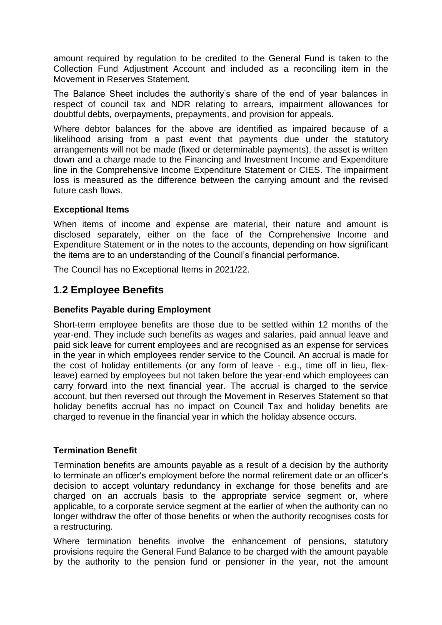amount required by regulation to be credited to the General Fund is taken to the Collection Fund Adjustment Account and included as a reconciling item in the Movement in Reserves Statement.

The Balance Sheet includes the authority's share of the end of year balances in respect of council tax and NDR relating to arrears, impairment allowances for doubtful debts, overpayments, prepayments, and provision for appeals.

Where debtor balances for the above are identified as impaired because of a likelihood arising from a past event that payments due under the statutory arrangements will not be made (fixed or determinable payments), the asset is written down and a charge made to the Financing and Investment Income and Expenditure line in the Comprehensive Income Expenditure Statement or CIES. The impairment loss is measured as the difference between the carrying amount and the revised future cash flows.

#### **Exceptional Items**

When items of income and expense are material, their nature and amount is disclosed separately, either on the face of the Comprehensive Income and Expenditure Statement or in the notes to the accounts, depending on how significant the items are to an understanding of the Council's financial performance.

The Council has no Exceptional Items in 2021/22.

## **1.2 Employee Benefits**

#### **Benefits Payable during Employment**

Short-term employee benefits are those due to be settled within 12 months of the year-end. They include such benefits as wages and salaries, paid annual leave and paid sick leave for current employees and are recognised as an expense for services in the year in which employees render service to the Council. An accrual is made for the cost of holiday entitlements (or any form of leave - e.g., time off in lieu, flexleave) earned by employees but not taken before the year-end which employees can carry forward into the next financial year. The accrual is charged to the service account, but then reversed out through the Movement in Reserves Statement so that holiday benefits accrual has no impact on Council Tax and holiday benefits are charged to revenue in the financial year in which the holiday absence occurs.

#### **Termination Benefit**

Termination benefits are amounts payable as a result of a decision by the authority to terminate an officer's employment before the normal retirement date or an officer's decision to accept voluntary redundancy in exchange for those benefits and are charged on an accruals basis to the appropriate service segment or, where applicable, to a corporate service segment at the earlier of when the authority can no longer withdraw the offer of those benefits or when the authority recognises costs for a restructuring.

Where termination benefits involve the enhancement of pensions, statutory provisions require the General Fund Balance to be charged with the amount payable by the authority to the pension fund or pensioner in the year, not the amount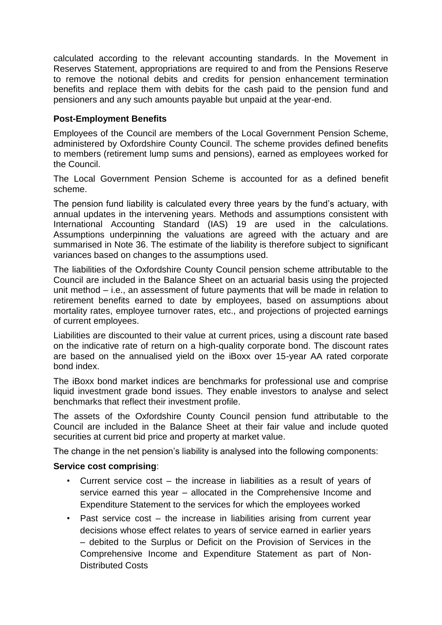calculated according to the relevant accounting standards. In the Movement in Reserves Statement, appropriations are required to and from the Pensions Reserve to remove the notional debits and credits for pension enhancement termination benefits and replace them with debits for the cash paid to the pension fund and pensioners and any such amounts payable but unpaid at the year-end.

## **Post-Employment Benefits**

Employees of the Council are members of the Local Government Pension Scheme, administered by Oxfordshire County Council. The scheme provides defined benefits to members (retirement lump sums and pensions), earned as employees worked for the Council.

The Local Government Pension Scheme is accounted for as a defined benefit scheme.

The pension fund liability is calculated every three years by the fund's actuary, with annual updates in the intervening years. Methods and assumptions consistent with International Accounting Standard (IAS) 19 are used in the calculations. Assumptions underpinning the valuations are agreed with the actuary and are summarised in Note 36. The estimate of the liability is therefore subject to significant variances based on changes to the assumptions used.

The liabilities of the Oxfordshire County Council pension scheme attributable to the Council are included in the Balance Sheet on an actuarial basis using the projected unit method – i.e., an assessment of future payments that will be made in relation to retirement benefits earned to date by employees, based on assumptions about mortality rates, employee turnover rates, etc., and projections of projected earnings of current employees.

Liabilities are discounted to their value at current prices, using a discount rate based on the indicative rate of return on a high-quality corporate bond. The discount rates are based on the annualised yield on the iBoxx over 15-year AA rated corporate bond index.

The iBoxx bond market indices are benchmarks for professional use and comprise liquid investment grade bond issues. They enable investors to analyse and select benchmarks that reflect their investment profile.

The assets of the Oxfordshire County Council pension fund attributable to the Council are included in the Balance Sheet at their fair value and include quoted securities at current bid price and property at market value.

The change in the net pension's liability is analysed into the following components:

#### **Service cost comprising**:

- Current service  $cost the increase in liabilities as a result of years of$ service earned this year – allocated in the Comprehensive Income and Expenditure Statement to the services for which the employees worked
- Past service cost the increase in liabilities arising from current year decisions whose effect relates to years of service earned in earlier years – debited to the Surplus or Deficit on the Provision of Services in the Comprehensive Income and Expenditure Statement as part of Non-Distributed Costs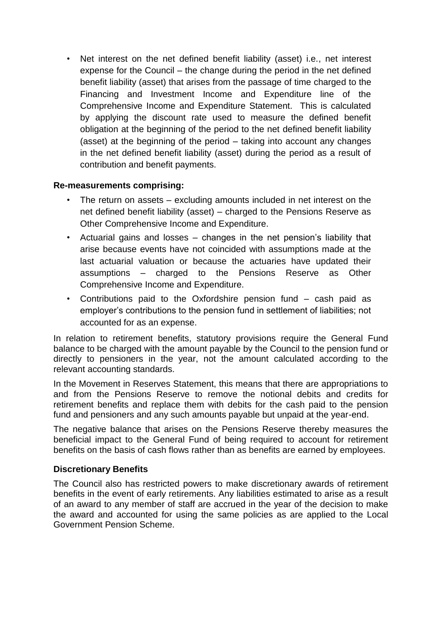• Net interest on the net defined benefit liability (asset) i.e., net interest expense for the Council – the change during the period in the net defined benefit liability (asset) that arises from the passage of time charged to the Financing and Investment Income and Expenditure line of the Comprehensive Income and Expenditure Statement. This is calculated by applying the discount rate used to measure the defined benefit obligation at the beginning of the period to the net defined benefit liability (asset) at the beginning of the period – taking into account any changes in the net defined benefit liability (asset) during the period as a result of contribution and benefit payments.

### **Re-measurements comprising:**

- The return on assets excluding amounts included in net interest on the net defined benefit liability (asset) – charged to the Pensions Reserve as Other Comprehensive Income and Expenditure.
- Actuarial gains and losses changes in the net pension's liability that arise because events have not coincided with assumptions made at the last actuarial valuation or because the actuaries have updated their assumptions – charged to the Pensions Reserve as Other Comprehensive Income and Expenditure.
- Contributions paid to the Oxfordshire pension fund cash paid as employer's contributions to the pension fund in settlement of liabilities; not accounted for as an expense.

In relation to retirement benefits, statutory provisions require the General Fund balance to be charged with the amount payable by the Council to the pension fund or directly to pensioners in the year, not the amount calculated according to the relevant accounting standards.

In the Movement in Reserves Statement, this means that there are appropriations to and from the Pensions Reserve to remove the notional debits and credits for retirement benefits and replace them with debits for the cash paid to the pension fund and pensioners and any such amounts payable but unpaid at the year-end.

The negative balance that arises on the Pensions Reserve thereby measures the beneficial impact to the General Fund of being required to account for retirement benefits on the basis of cash flows rather than as benefits are earned by employees.

## **Discretionary Benefits**

The Council also has restricted powers to make discretionary awards of retirement benefits in the event of early retirements. Any liabilities estimated to arise as a result of an award to any member of staff are accrued in the year of the decision to make the award and accounted for using the same policies as are applied to the Local Government Pension Scheme.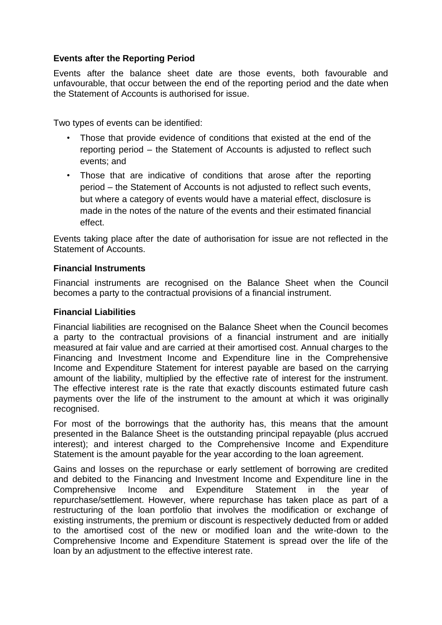### **Events after the Reporting Period**

Events after the balance sheet date are those events, both favourable and unfavourable, that occur between the end of the reporting period and the date when the Statement of Accounts is authorised for issue.

Two types of events can be identified:

- Those that provide evidence of conditions that existed at the end of the reporting period – the Statement of Accounts is adjusted to reflect such events; and
- Those that are indicative of conditions that arose after the reporting period – the Statement of Accounts is not adjusted to reflect such events, but where a category of events would have a material effect, disclosure is made in the notes of the nature of the events and their estimated financial effect.

Events taking place after the date of authorisation for issue are not reflected in the Statement of Accounts.

#### **Financial Instruments**

Financial instruments are recognised on the Balance Sheet when the Council becomes a party to the contractual provisions of a financial instrument.

#### **Financial Liabilities**

Financial liabilities are recognised on the Balance Sheet when the Council becomes a party to the contractual provisions of a financial instrument and are initially measured at fair value and are carried at their amortised cost. Annual charges to the Financing and Investment Income and Expenditure line in the Comprehensive Income and Expenditure Statement for interest payable are based on the carrying amount of the liability, multiplied by the effective rate of interest for the instrument. The effective interest rate is the rate that exactly discounts estimated future cash payments over the life of the instrument to the amount at which it was originally recognised.

For most of the borrowings that the authority has, this means that the amount presented in the Balance Sheet is the outstanding principal repayable (plus accrued interest); and interest charged to the Comprehensive Income and Expenditure Statement is the amount payable for the year according to the loan agreement.

Gains and losses on the repurchase or early settlement of borrowing are credited and debited to the Financing and Investment Income and Expenditure line in the Comprehensive Income and Expenditure Statement in the year of repurchase/settlement. However, where repurchase has taken place as part of a restructuring of the loan portfolio that involves the modification or exchange of existing instruments, the premium or discount is respectively deducted from or added to the amortised cost of the new or modified loan and the write-down to the Comprehensive Income and Expenditure Statement is spread over the life of the loan by an adjustment to the effective interest rate.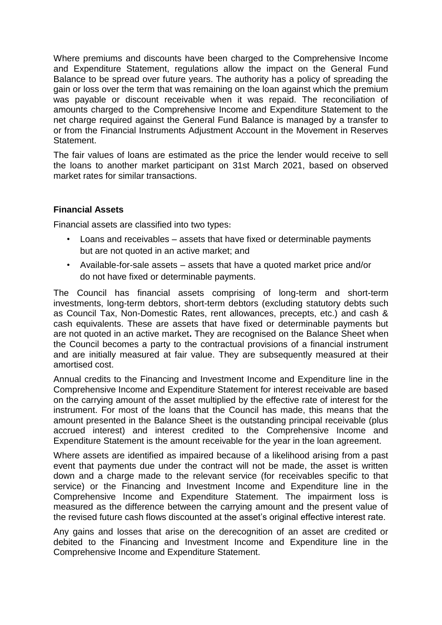Where premiums and discounts have been charged to the Comprehensive Income and Expenditure Statement, regulations allow the impact on the General Fund Balance to be spread over future years. The authority has a policy of spreading the gain or loss over the term that was remaining on the loan against which the premium was payable or discount receivable when it was repaid. The reconciliation of amounts charged to the Comprehensive Income and Expenditure Statement to the net charge required against the General Fund Balance is managed by a transfer to or from the Financial Instruments Adjustment Account in the Movement in Reserves Statement.

The fair values of loans are estimated as the price the lender would receive to sell the loans to another market participant on 31st March 2021, based on observed market rates for similar transactions.

#### **Financial Assets**

Financial assets are classified into two types:

- Loans and receivables assets that have fixed or determinable payments but are not quoted in an active market; and
- Available-for-sale assets assets that have a quoted market price and/or do not have fixed or determinable payments.

The Council has financial assets comprising of long-term and short-term investments, long-term debtors, short-term debtors (excluding statutory debts such as Council Tax, Non-Domestic Rates, rent allowances, precepts, etc.) and cash & cash equivalents. These are assets that have fixed or determinable payments but are not quoted in an active market**.** They are recognised on the Balance Sheet when the Council becomes a party to the contractual provisions of a financial instrument and are initially measured at fair value. They are subsequently measured at their amortised cost.

Annual credits to the Financing and Investment Income and Expenditure line in the Comprehensive Income and Expenditure Statement for interest receivable are based on the carrying amount of the asset multiplied by the effective rate of interest for the instrument. For most of the loans that the Council has made, this means that the amount presented in the Balance Sheet is the outstanding principal receivable (plus accrued interest) and interest credited to the Comprehensive Income and Expenditure Statement is the amount receivable for the year in the loan agreement.

Where assets are identified as impaired because of a likelihood arising from a past event that payments due under the contract will not be made, the asset is written down and a charge made to the relevant service (for receivables specific to that service) or the Financing and Investment Income and Expenditure line in the Comprehensive Income and Expenditure Statement. The impairment loss is measured as the difference between the carrying amount and the present value of the revised future cash flows discounted at the asset's original effective interest rate.

Any gains and losses that arise on the derecognition of an asset are credited or debited to the Financing and Investment Income and Expenditure line in the Comprehensive Income and Expenditure Statement.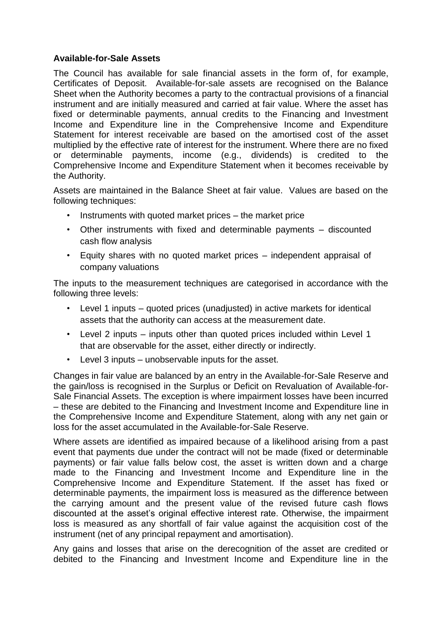#### **Available-for-Sale Assets**

The Council has available for sale financial assets in the form of, for example, Certificates of Deposit. Available-for-sale assets are recognised on the Balance Sheet when the Authority becomes a party to the contractual provisions of a financial instrument and are initially measured and carried at fair value. Where the asset has fixed or determinable payments, annual credits to the Financing and Investment Income and Expenditure line in the Comprehensive Income and Expenditure Statement for interest receivable are based on the amortised cost of the asset multiplied by the effective rate of interest for the instrument. Where there are no fixed or determinable payments, income (e.g., dividends) is credited to the Comprehensive Income and Expenditure Statement when it becomes receivable by the Authority.

Assets are maintained in the Balance Sheet at fair value. Values are based on the following techniques:

- Instruments with quoted market prices the market price
- Other instruments with fixed and determinable payments discounted cash flow analysis
- Equity shares with no quoted market prices independent appraisal of company valuations

The inputs to the measurement techniques are categorised in accordance with the following three levels:

- Level 1 inputs quoted prices (unadjusted) in active markets for identical assets that the authority can access at the measurement date.
- Level 2 inputs inputs other than quoted prices included within Level 1 that are observable for the asset, either directly or indirectly.
- Level 3 inputs unobservable inputs for the asset.

Changes in fair value are balanced by an entry in the Available-for-Sale Reserve and the gain/loss is recognised in the Surplus or Deficit on Revaluation of Available-for-Sale Financial Assets. The exception is where impairment losses have been incurred – these are debited to the Financing and Investment Income and Expenditure line in the Comprehensive Income and Expenditure Statement, along with any net gain or loss for the asset accumulated in the Available-for-Sale Reserve.

Where assets are identified as impaired because of a likelihood arising from a past event that payments due under the contract will not be made (fixed or determinable payments) or fair value falls below cost, the asset is written down and a charge made to the Financing and Investment Income and Expenditure line in the Comprehensive Income and Expenditure Statement. If the asset has fixed or determinable payments, the impairment loss is measured as the difference between the carrying amount and the present value of the revised future cash flows discounted at the asset's original effective interest rate. Otherwise, the impairment loss is measured as any shortfall of fair value against the acquisition cost of the instrument (net of any principal repayment and amortisation).

Any gains and losses that arise on the derecognition of the asset are credited or debited to the Financing and Investment Income and Expenditure line in the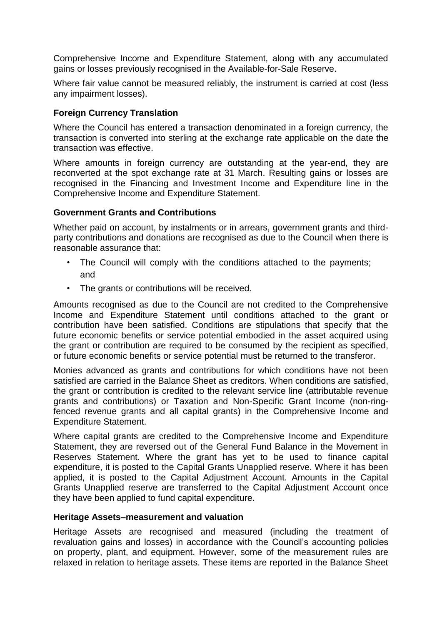Comprehensive Income and Expenditure Statement, along with any accumulated gains or losses previously recognised in the Available-for-Sale Reserve.

Where fair value cannot be measured reliably, the instrument is carried at cost (less any impairment losses).

### **Foreign Currency Translation**

Where the Council has entered a transaction denominated in a foreign currency, the transaction is converted into sterling at the exchange rate applicable on the date the transaction was effective.

Where amounts in foreign currency are outstanding at the year-end, they are reconverted at the spot exchange rate at 31 March. Resulting gains or losses are recognised in the Financing and Investment Income and Expenditure line in the Comprehensive Income and Expenditure Statement.

#### **Government Grants and Contributions**

Whether paid on account, by instalments or in arrears, government grants and thirdparty contributions and donations are recognised as due to the Council when there is reasonable assurance that:

- The Council will comply with the conditions attached to the payments; and
- The grants or contributions will be received.

Amounts recognised as due to the Council are not credited to the Comprehensive Income and Expenditure Statement until conditions attached to the grant or contribution have been satisfied. Conditions are stipulations that specify that the future economic benefits or service potential embodied in the asset acquired using the grant or contribution are required to be consumed by the recipient as specified, or future economic benefits or service potential must be returned to the transferor.

Monies advanced as grants and contributions for which conditions have not been satisfied are carried in the Balance Sheet as creditors. When conditions are satisfied, the grant or contribution is credited to the relevant service line (attributable revenue grants and contributions) or Taxation and Non-Specific Grant Income (non-ringfenced revenue grants and all capital grants) in the Comprehensive Income and Expenditure Statement.

Where capital grants are credited to the Comprehensive Income and Expenditure Statement, they are reversed out of the General Fund Balance in the Movement in Reserves Statement. Where the grant has yet to be used to finance capital expenditure, it is posted to the Capital Grants Unapplied reserve. Where it has been applied, it is posted to the Capital Adjustment Account. Amounts in the Capital Grants Unapplied reserve are transferred to the Capital Adjustment Account once they have been applied to fund capital expenditure.

#### **Heritage Assets–measurement and valuation**

Heritage Assets are recognised and measured (including the treatment of revaluation gains and losses) in accordance with the Council's accounting policies on property, plant, and equipment. However, some of the measurement rules are relaxed in relation to heritage assets. These items are reported in the Balance Sheet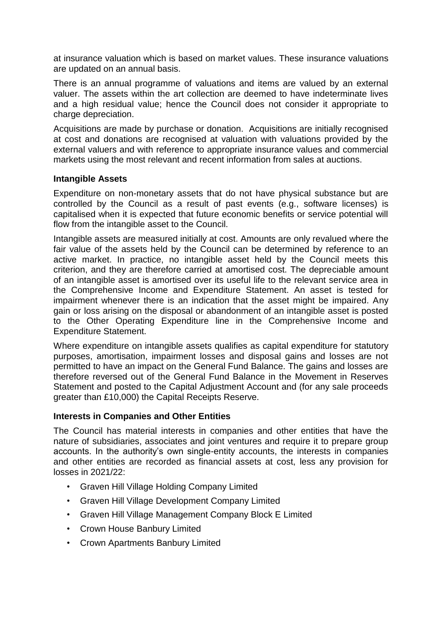at insurance valuation which is based on market values. These insurance valuations are updated on an annual basis.

There is an annual programme of valuations and items are valued by an external valuer. The assets within the art collection are deemed to have indeterminate lives and a high residual value; hence the Council does not consider it appropriate to charge depreciation.

Acquisitions are made by purchase or donation. Acquisitions are initially recognised at cost and donations are recognised at valuation with valuations provided by the external valuers and with reference to appropriate insurance values and commercial markets using the most relevant and recent information from sales at auctions.

#### **Intangible Assets**

Expenditure on non-monetary assets that do not have physical substance but are controlled by the Council as a result of past events (e.g., software licenses) is capitalised when it is expected that future economic benefits or service potential will flow from the intangible asset to the Council.

Intangible assets are measured initially at cost. Amounts are only revalued where the fair value of the assets held by the Council can be determined by reference to an active market. In practice, no intangible asset held by the Council meets this criterion, and they are therefore carried at amortised cost. The depreciable amount of an intangible asset is amortised over its useful life to the relevant service area in the Comprehensive Income and Expenditure Statement. An asset is tested for impairment whenever there is an indication that the asset might be impaired. Any gain or loss arising on the disposal or abandonment of an intangible asset is posted to the Other Operating Expenditure line in the Comprehensive Income and Expenditure Statement.

Where expenditure on intangible assets qualifies as capital expenditure for statutory purposes, amortisation, impairment losses and disposal gains and losses are not permitted to have an impact on the General Fund Balance. The gains and losses are therefore reversed out of the General Fund Balance in the Movement in Reserves Statement and posted to the Capital Adjustment Account and (for any sale proceeds greater than £10,000) the Capital Receipts Reserve.

#### **Interests in Companies and Other Entities**

The Council has material interests in companies and other entities that have the nature of subsidiaries, associates and joint ventures and require it to prepare group accounts. In the authority's own single-entity accounts, the interests in companies and other entities are recorded as financial assets at cost, less any provision for losses in 2021/22:

- Graven Hill Village Holding Company Limited
- Graven Hill Village Development Company Limited
- Graven Hill Village Management Company Block E Limited
- Crown House Banbury Limited
- Crown Apartments Banbury Limited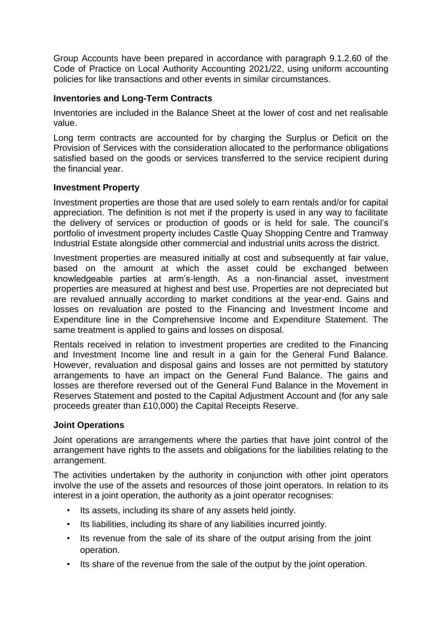Group Accounts have been prepared in accordance with paragraph 9.1.2.60 of the Code of Practice on Local Authority Accounting 2021/22, using uniform accounting policies for like transactions and other events in similar circumstances.

### **Inventories and Long-Term Contracts**

Inventories are included in the Balance Sheet at the lower of cost and net realisable value.

Long term contracts are accounted for by charging the Surplus or Deficit on the Provision of Services with the consideration allocated to the performance obligations satisfied based on the goods or services transferred to the service recipient during the financial year.

#### **Investment Property**

Investment properties are those that are used solely to earn rentals and/or for capital appreciation. The definition is not met if the property is used in any way to facilitate the delivery of services or production of goods or is held for sale. The council's portfolio of investment property includes Castle Quay Shopping Centre and Tramway Industrial Estate alongside other commercial and industrial units across the district.

Investment properties are measured initially at cost and subsequently at fair value, based on the amount at which the asset could be exchanged between knowledgeable parties at arm's-length. As a non-financial asset, investment properties are measured at highest and best use. Properties are not depreciated but are revalued annually according to market conditions at the year-end. Gains and losses on revaluation are posted to the Financing and Investment Income and Expenditure line in the Comprehensive Income and Expenditure Statement. The same treatment is applied to gains and losses on disposal.

Rentals received in relation to investment properties are credited to the Financing and Investment Income line and result in a gain for the General Fund Balance. However, revaluation and disposal gains and losses are not permitted by statutory arrangements to have an impact on the General Fund Balance. The gains and losses are therefore reversed out of the General Fund Balance in the Movement in Reserves Statement and posted to the Capital Adjustment Account and (for any sale proceeds greater than £10,000) the Capital Receipts Reserve.

#### **Joint Operations**

Joint operations are arrangements where the parties that have joint control of the arrangement have rights to the assets and obligations for the liabilities relating to the arrangement.

The activities undertaken by the authority in conjunction with other joint operators involve the use of the assets and resources of those joint operators. In relation to its interest in a joint operation, the authority as a joint operator recognises:

- Its assets, including its share of any assets held jointly.
- Its liabilities, including its share of any liabilities incurred jointly.
- Its revenue from the sale of its share of the output arising from the joint operation.
- Its share of the revenue from the sale of the output by the joint operation.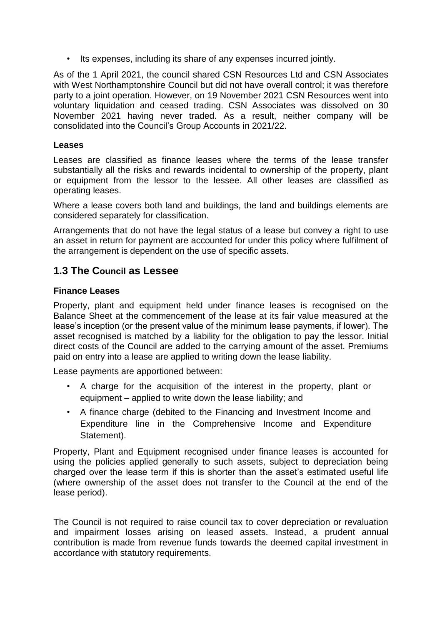• Its expenses, including its share of any expenses incurred jointly.

As of the 1 April 2021, the council shared CSN Resources Ltd and CSN Associates with West Northamptonshire Council but did not have overall control; it was therefore party to a joint operation. However, on 19 November 2021 CSN Resources went into voluntary liquidation and ceased trading. CSN Associates was dissolved on 30 November 2021 having never traded. As a result, neither company will be consolidated into the Council's Group Accounts in 2021/22.

#### **Leases**

Leases are classified as finance leases where the terms of the lease transfer substantially all the risks and rewards incidental to ownership of the property, plant or equipment from the lessor to the lessee. All other leases are classified as operating leases.

Where a lease covers both land and buildings, the land and buildings elements are considered separately for classification.

Arrangements that do not have the legal status of a lease but convey a right to use an asset in return for payment are accounted for under this policy where fulfilment of the arrangement is dependent on the use of specific assets.

## **1.3 The Council as Lessee**

#### **Finance Leases**

Property, plant and equipment held under finance leases is recognised on the Balance Sheet at the commencement of the lease at its fair value measured at the lease's inception (or the present value of the minimum lease payments, if lower). The asset recognised is matched by a liability for the obligation to pay the lessor. Initial direct costs of the Council are added to the carrying amount of the asset. Premiums paid on entry into a lease are applied to writing down the lease liability.

Lease payments are apportioned between:

- A charge for the acquisition of the interest in the property, plant or equipment – applied to write down the lease liability; and
- A finance charge (debited to the Financing and Investment Income and Expenditure line in the Comprehensive Income and Expenditure Statement).

Property, Plant and Equipment recognised under finance leases is accounted for using the policies applied generally to such assets, subject to depreciation being charged over the lease term if this is shorter than the asset's estimated useful life (where ownership of the asset does not transfer to the Council at the end of the lease period).

The Council is not required to raise council tax to cover depreciation or revaluation and impairment losses arising on leased assets. Instead, a prudent annual contribution is made from revenue funds towards the deemed capital investment in accordance with statutory requirements.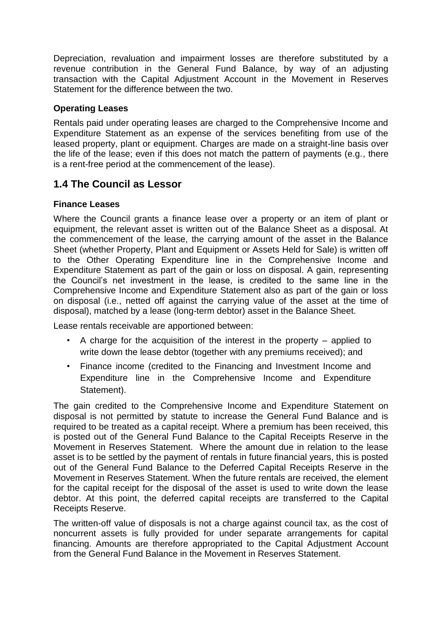Depreciation, revaluation and impairment losses are therefore substituted by a revenue contribution in the General Fund Balance, by way of an adjusting transaction with the Capital Adjustment Account in the Movement in Reserves Statement for the difference between the two.

### **Operating Leases**

Rentals paid under operating leases are charged to the Comprehensive Income and Expenditure Statement as an expense of the services benefiting from use of the leased property, plant or equipment. Charges are made on a straight-line basis over the life of the lease; even if this does not match the pattern of payments (e.g., there is a rent-free period at the commencement of the lease).

## **1.4 The Council as Lessor**

### **Finance Leases**

Where the Council grants a finance lease over a property or an item of plant or equipment, the relevant asset is written out of the Balance Sheet as a disposal. At the commencement of the lease, the carrying amount of the asset in the Balance Sheet (whether Property, Plant and Equipment or Assets Held for Sale) is written off to the Other Operating Expenditure line in the Comprehensive Income and Expenditure Statement as part of the gain or loss on disposal. A gain, representing the Council's net investment in the lease, is credited to the same line in the Comprehensive Income and Expenditure Statement also as part of the gain or loss on disposal (i.e., netted off against the carrying value of the asset at the time of disposal), matched by a lease (long-term debtor) asset in the Balance Sheet.

Lease rentals receivable are apportioned between:

- A charge for the acquisition of the interest in the property applied to write down the lease debtor (together with any premiums received); and
- Finance income (credited to the Financing and Investment Income and Expenditure line in the Comprehensive Income and Expenditure Statement).

The gain credited to the Comprehensive Income and Expenditure Statement on disposal is not permitted by statute to increase the General Fund Balance and is required to be treated as a capital receipt. Where a premium has been received, this is posted out of the General Fund Balance to the Capital Receipts Reserve in the Movement in Reserves Statement. Where the amount due in relation to the lease asset is to be settled by the payment of rentals in future financial years, this is posted out of the General Fund Balance to the Deferred Capital Receipts Reserve in the Movement in Reserves Statement. When the future rentals are received, the element for the capital receipt for the disposal of the asset is used to write down the lease debtor. At this point, the deferred capital receipts are transferred to the Capital Receipts Reserve.

The written-off value of disposals is not a charge against council tax, as the cost of noncurrent assets is fully provided for under separate arrangements for capital financing. Amounts are therefore appropriated to the Capital Adjustment Account from the General Fund Balance in the Movement in Reserves Statement.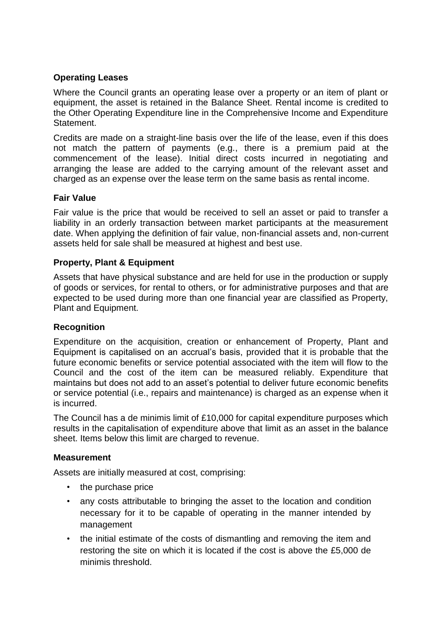### **Operating Leases**

Where the Council grants an operating lease over a property or an item of plant or equipment, the asset is retained in the Balance Sheet. Rental income is credited to the Other Operating Expenditure line in the Comprehensive Income and Expenditure Statement.

Credits are made on a straight-line basis over the life of the lease, even if this does not match the pattern of payments (e.g., there is a premium paid at the commencement of the lease). Initial direct costs incurred in negotiating and arranging the lease are added to the carrying amount of the relevant asset and charged as an expense over the lease term on the same basis as rental income.

### **Fair Value**

Fair value is the price that would be received to sell an asset or paid to transfer a liability in an orderly transaction between market participants at the measurement date. When applying the definition of fair value, non-financial assets and, non-current assets held for sale shall be measured at highest and best use.

#### **Property, Plant & Equipment**

Assets that have physical substance and are held for use in the production or supply of goods or services, for rental to others, or for administrative purposes and that are expected to be used during more than one financial year are classified as Property, Plant and Equipment.

#### **Recognition**

Expenditure on the acquisition, creation or enhancement of Property, Plant and Equipment is capitalised on an accrual's basis, provided that it is probable that the future economic benefits or service potential associated with the item will flow to the Council and the cost of the item can be measured reliably. Expenditure that maintains but does not add to an asset's potential to deliver future economic benefits or service potential (i.e., repairs and maintenance) is charged as an expense when it is incurred.

The Council has a de minimis limit of £10,000 for capital expenditure purposes which results in the capitalisation of expenditure above that limit as an asset in the balance sheet. Items below this limit are charged to revenue.

#### **Measurement**

Assets are initially measured at cost, comprising:

- the purchase price
- any costs attributable to bringing the asset to the location and condition necessary for it to be capable of operating in the manner intended by management
- the initial estimate of the costs of dismantling and removing the item and restoring the site on which it is located if the cost is above the £5,000 de minimis threshold.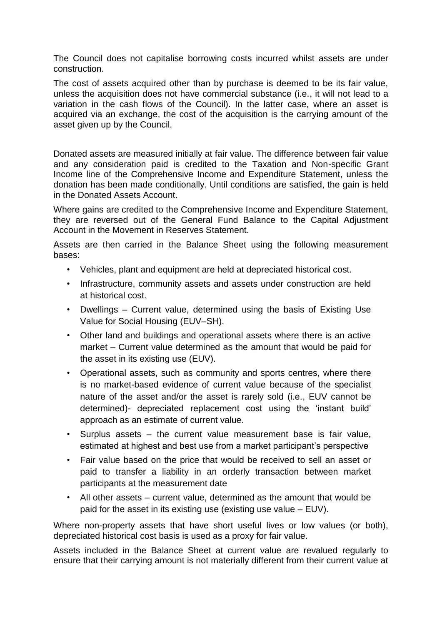The Council does not capitalise borrowing costs incurred whilst assets are under construction.

The cost of assets acquired other than by purchase is deemed to be its fair value, unless the acquisition does not have commercial substance (i.e., it will not lead to a variation in the cash flows of the Council). In the latter case, where an asset is acquired via an exchange, the cost of the acquisition is the carrying amount of the asset given up by the Council.

Donated assets are measured initially at fair value. The difference between fair value and any consideration paid is credited to the Taxation and Non-specific Grant Income line of the Comprehensive Income and Expenditure Statement, unless the donation has been made conditionally. Until conditions are satisfied, the gain is held in the Donated Assets Account.

Where gains are credited to the Comprehensive Income and Expenditure Statement, they are reversed out of the General Fund Balance to the Capital Adjustment Account in the Movement in Reserves Statement.

Assets are then carried in the Balance Sheet using the following measurement bases:

- Vehicles, plant and equipment are held at depreciated historical cost.
- Infrastructure, community assets and assets under construction are held at historical cost.
- Dwellings Current value, determined using the basis of Existing Use Value for Social Housing (EUV–SH).
- Other land and buildings and operational assets where there is an active market – Current value determined as the amount that would be paid for the asset in its existing use (EUV).
- Operational assets, such as community and sports centres, where there is no market-based evidence of current value because of the specialist nature of the asset and/or the asset is rarely sold (i.e., EUV cannot be determined)- depreciated replacement cost using the 'instant build' approach as an estimate of current value.
- Surplus assets the current value measurement base is fair value, estimated at highest and best use from a market participant's perspective
- Fair value based on the price that would be received to sell an asset or paid to transfer a liability in an orderly transaction between market participants at the measurement date
- All other assets current value, determined as the amount that would be paid for the asset in its existing use (existing use value – EUV).

Where non-property assets that have short useful lives or low values (or both), depreciated historical cost basis is used as a proxy for fair value.

Assets included in the Balance Sheet at current value are revalued regularly to ensure that their carrying amount is not materially different from their current value at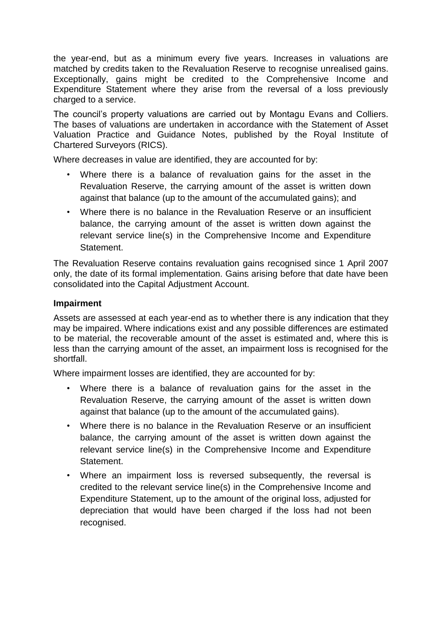the year-end, but as a minimum every five years. Increases in valuations are matched by credits taken to the Revaluation Reserve to recognise unrealised gains. Exceptionally, gains might be credited to the Comprehensive Income and Expenditure Statement where they arise from the reversal of a loss previously charged to a service.

The council's property valuations are carried out by Montagu Evans and Colliers. The bases of valuations are undertaken in accordance with the Statement of Asset Valuation Practice and Guidance Notes, published by the Royal Institute of Chartered Surveyors (RICS).

Where decreases in value are identified, they are accounted for by:

- Where there is a balance of revaluation gains for the asset in the Revaluation Reserve, the carrying amount of the asset is written down against that balance (up to the amount of the accumulated gains); and
- Where there is no balance in the Revaluation Reserve or an insufficient balance, the carrying amount of the asset is written down against the relevant service line(s) in the Comprehensive Income and Expenditure Statement.

The Revaluation Reserve contains revaluation gains recognised since 1 April 2007 only, the date of its formal implementation. Gains arising before that date have been consolidated into the Capital Adjustment Account.

### **Impairment**

Assets are assessed at each year-end as to whether there is any indication that they may be impaired. Where indications exist and any possible differences are estimated to be material, the recoverable amount of the asset is estimated and, where this is less than the carrying amount of the asset, an impairment loss is recognised for the shortfall.

Where impairment losses are identified, they are accounted for by:

- Where there is a balance of revaluation gains for the asset in the Revaluation Reserve, the carrying amount of the asset is written down against that balance (up to the amount of the accumulated gains).
- Where there is no balance in the Revaluation Reserve or an insufficient balance, the carrying amount of the asset is written down against the relevant service line(s) in the Comprehensive Income and Expenditure **Statement**
- Where an impairment loss is reversed subsequently, the reversal is credited to the relevant service line(s) in the Comprehensive Income and Expenditure Statement, up to the amount of the original loss, adjusted for depreciation that would have been charged if the loss had not been recognised.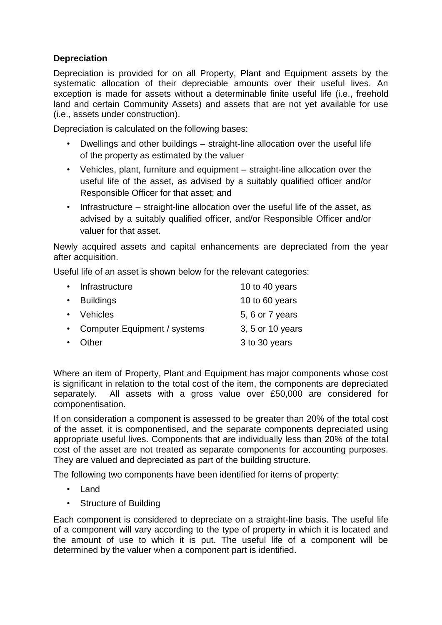## **Depreciation**

Depreciation is provided for on all Property, Plant and Equipment assets by the systematic allocation of their depreciable amounts over their useful lives. An exception is made for assets without a determinable finite useful life (i.e., freehold land and certain Community Assets) and assets that are not yet available for use (i.e., assets under construction).

Depreciation is calculated on the following bases:

- Dwellings and other buildings straight-line allocation over the useful life of the property as estimated by the valuer
- Vehicles, plant, furniture and equipment straight-line allocation over the useful life of the asset, as advised by a suitably qualified officer and/or Responsible Officer for that asset; and
- Infrastructure straight-line allocation over the useful life of the asset, as advised by a suitably qualified officer, and/or Responsible Officer and/or valuer for that asset.

Newly acquired assets and capital enhancements are depreciated from the year after acquisition.

Useful life of an asset is shown below for the relevant categories:

| $\bullet$ | Infrastructure                 | 10 to 40 years   |
|-----------|--------------------------------|------------------|
|           | • Buildings                    | 10 to 60 years   |
|           | • Vehicles                     | 5, 6 or 7 years  |
|           | • Computer Equipment / systems | 3, 5 or 10 years |
| $\bullet$ | Other                          | 3 to 30 years    |
|           |                                |                  |

Where an item of Property, Plant and Equipment has major components whose cost is significant in relation to the total cost of the item, the components are depreciated separately. All assets with a gross value over £50,000 are considered for componentisation.

If on consideration a component is assessed to be greater than 20% of the total cost of the asset, it is componentised, and the separate components depreciated using appropriate useful lives. Components that are individually less than 20% of the total cost of the asset are not treated as separate components for accounting purposes. They are valued and depreciated as part of the building structure.

The following two components have been identified for items of property:

- Land
- Structure of Building

Each component is considered to depreciate on a straight-line basis. The useful life of a component will vary according to the type of property in which it is located and the amount of use to which it is put. The useful life of a component will be determined by the valuer when a component part is identified.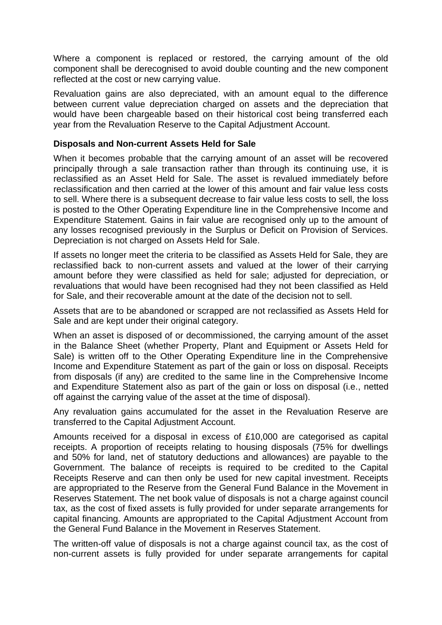Where a component is replaced or restored, the carrying amount of the old component shall be derecognised to avoid double counting and the new component reflected at the cost or new carrying value.

Revaluation gains are also depreciated, with an amount equal to the difference between current value depreciation charged on assets and the depreciation that would have been chargeable based on their historical cost being transferred each year from the Revaluation Reserve to the Capital Adjustment Account.

#### **Disposals and Non-current Assets Held for Sale**

When it becomes probable that the carrying amount of an asset will be recovered principally through a sale transaction rather than through its continuing use, it is reclassified as an Asset Held for Sale. The asset is revalued immediately before reclassification and then carried at the lower of this amount and fair value less costs to sell. Where there is a subsequent decrease to fair value less costs to sell, the loss is posted to the Other Operating Expenditure line in the Comprehensive Income and Expenditure Statement. Gains in fair value are recognised only up to the amount of any losses recognised previously in the Surplus or Deficit on Provision of Services. Depreciation is not charged on Assets Held for Sale.

If assets no longer meet the criteria to be classified as Assets Held for Sale, they are reclassified back to non-current assets and valued at the lower of their carrying amount before they were classified as held for sale; adjusted for depreciation, or revaluations that would have been recognised had they not been classified as Held for Sale, and their recoverable amount at the date of the decision not to sell.

Assets that are to be abandoned or scrapped are not reclassified as Assets Held for Sale and are kept under their original category.

When an asset is disposed of or decommissioned, the carrying amount of the asset in the Balance Sheet (whether Property, Plant and Equipment or Assets Held for Sale) is written off to the Other Operating Expenditure line in the Comprehensive Income and Expenditure Statement as part of the gain or loss on disposal. Receipts from disposals (if any) are credited to the same line in the Comprehensive Income and Expenditure Statement also as part of the gain or loss on disposal (i.e., netted off against the carrying value of the asset at the time of disposal).

Any revaluation gains accumulated for the asset in the Revaluation Reserve are transferred to the Capital Adjustment Account.

Amounts received for a disposal in excess of £10,000 are categorised as capital receipts. A proportion of receipts relating to housing disposals (75% for dwellings and 50% for land, net of statutory deductions and allowances) are payable to the Government. The balance of receipts is required to be credited to the Capital Receipts Reserve and can then only be used for new capital investment. Receipts are appropriated to the Reserve from the General Fund Balance in the Movement in Reserves Statement. The net book value of disposals is not a charge against council tax, as the cost of fixed assets is fully provided for under separate arrangements for capital financing. Amounts are appropriated to the Capital Adjustment Account from the General Fund Balance in the Movement in Reserves Statement.

The written-off value of disposals is not a charge against council tax, as the cost of non-current assets is fully provided for under separate arrangements for capital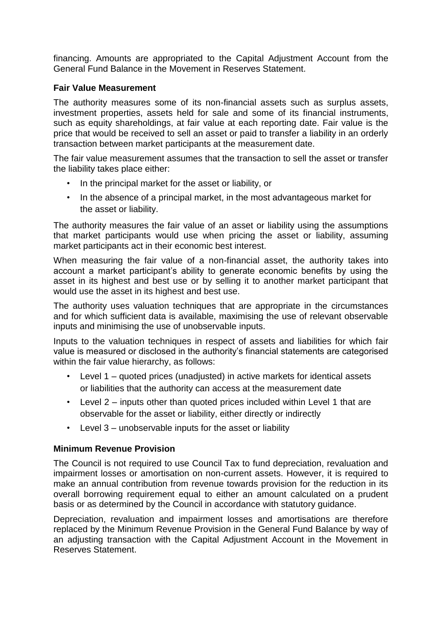financing. Amounts are appropriated to the Capital Adjustment Account from the General Fund Balance in the Movement in Reserves Statement.

#### **Fair Value Measurement**

The authority measures some of its non-financial assets such as surplus assets, investment properties, assets held for sale and some of its financial instruments, such as equity shareholdings, at fair value at each reporting date. Fair value is the price that would be received to sell an asset or paid to transfer a liability in an orderly transaction between market participants at the measurement date.

The fair value measurement assumes that the transaction to sell the asset or transfer the liability takes place either:

- In the principal market for the asset or liability, or
- In the absence of a principal market, in the most advantageous market for the asset or liability.

The authority measures the fair value of an asset or liability using the assumptions that market participants would use when pricing the asset or liability, assuming market participants act in their economic best interest.

When measuring the fair value of a non-financial asset, the authority takes into account a market participant's ability to generate economic benefits by using the asset in its highest and best use or by selling it to another market participant that would use the asset in its highest and best use.

The authority uses valuation techniques that are appropriate in the circumstances and for which sufficient data is available, maximising the use of relevant observable inputs and minimising the use of unobservable inputs.

Inputs to the valuation techniques in respect of assets and liabilities for which fair value is measured or disclosed in the authority's financial statements are categorised within the fair value hierarchy, as follows:

- Level  $1$  quoted prices (unadjusted) in active markets for identical assets or liabilities that the authority can access at the measurement date
- Level 2 inputs other than quoted prices included within Level 1 that are observable for the asset or liability, either directly or indirectly
- Level 3 unobservable inputs for the asset or liability

## **Minimum Revenue Provision**

The Council is not required to use Council Tax to fund depreciation, revaluation and impairment losses or amortisation on non-current assets. However, it is required to make an annual contribution from revenue towards provision for the reduction in its overall borrowing requirement equal to either an amount calculated on a prudent basis or as determined by the Council in accordance with statutory guidance.

Depreciation, revaluation and impairment losses and amortisations are therefore replaced by the Minimum Revenue Provision in the General Fund Balance by way of an adjusting transaction with the Capital Adjustment Account in the Movement in Reserves Statement.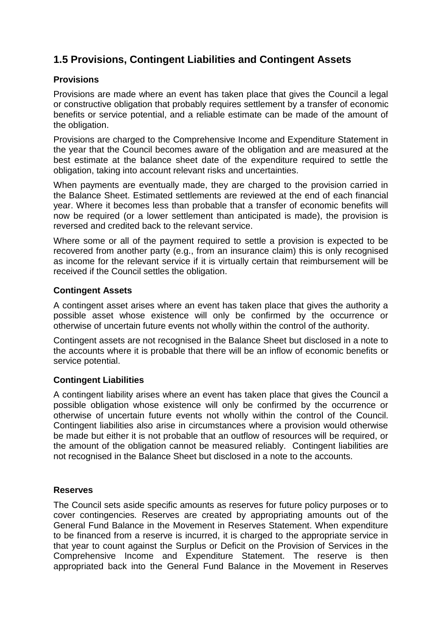# **1.5 Provisions, Contingent Liabilities and Contingent Assets**

#### **Provisions**

Provisions are made where an event has taken place that gives the Council a legal or constructive obligation that probably requires settlement by a transfer of economic benefits or service potential, and a reliable estimate can be made of the amount of the obligation.

Provisions are charged to the Comprehensive Income and Expenditure Statement in the year that the Council becomes aware of the obligation and are measured at the best estimate at the balance sheet date of the expenditure required to settle the obligation, taking into account relevant risks and uncertainties.

When payments are eventually made, they are charged to the provision carried in the Balance Sheet. Estimated settlements are reviewed at the end of each financial year. Where it becomes less than probable that a transfer of economic benefits will now be required (or a lower settlement than anticipated is made), the provision is reversed and credited back to the relevant service.

Where some or all of the payment required to settle a provision is expected to be recovered from another party (e.g., from an insurance claim) this is only recognised as income for the relevant service if it is virtually certain that reimbursement will be received if the Council settles the obligation.

#### **Contingent Assets**

A contingent asset arises where an event has taken place that gives the authority a possible asset whose existence will only be confirmed by the occurrence or otherwise of uncertain future events not wholly within the control of the authority.

Contingent assets are not recognised in the Balance Sheet but disclosed in a note to the accounts where it is probable that there will be an inflow of economic benefits or service potential.

## **Contingent Liabilities**

A contingent liability arises where an event has taken place that gives the Council a possible obligation whose existence will only be confirmed by the occurrence or otherwise of uncertain future events not wholly within the control of the Council. Contingent liabilities also arise in circumstances where a provision would otherwise be made but either it is not probable that an outflow of resources will be required, or the amount of the obligation cannot be measured reliably. Contingent liabilities are not recognised in the Balance Sheet but disclosed in a note to the accounts.

## **Reserves**

The Council sets aside specific amounts as reserves for future policy purposes or to cover contingencies*.* Reserves are created by appropriating amounts out of the General Fund Balance in the Movement in Reserves Statement. When expenditure to be financed from a reserve is incurred, it is charged to the appropriate service in that year to count against the Surplus or Deficit on the Provision of Services in the Comprehensive Income and Expenditure Statement. The reserve is then appropriated back into the General Fund Balance in the Movement in Reserves